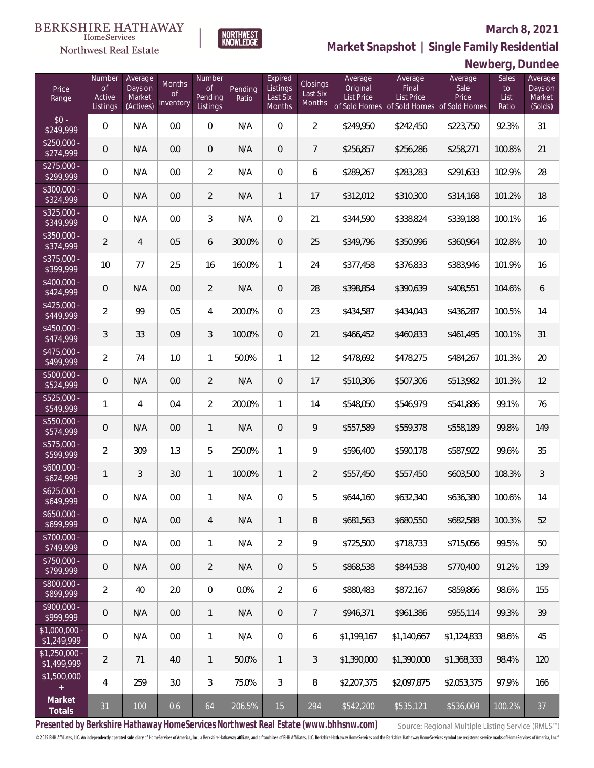#### **March 8, 2021**



**NORTHWEST**<br>KNOWLEDGE

Northwest Real Estate

**Market Snapshot | Single Family Residential**

## **Newberg, Dundee**

| Price<br>Range                    | Number<br>of<br>Active<br>Listings | Average<br>Days on<br>Market<br>(Actives) | Months<br>Οf<br>Inventory | Number<br><b>of</b><br>Pending<br>Listings | Pending<br>Ratio | Expired<br>Listings<br>Last Six<br>Months | Closings<br>Last Six<br><b>Months</b> | Average<br>Original<br><b>List Price</b> | Average<br>Final<br><b>List Price</b><br>of Sold Homes of Sold Homes | Average<br>Sale<br>Price<br>of Sold Homes | Sales<br>to<br>List<br>Ratio | Average<br>Days on<br>Market<br>(Solds) |
|-----------------------------------|------------------------------------|-------------------------------------------|---------------------------|--------------------------------------------|------------------|-------------------------------------------|---------------------------------------|------------------------------------------|----------------------------------------------------------------------|-------------------------------------------|------------------------------|-----------------------------------------|
| $$0 -$<br>\$249,999               | $\overline{0}$                     | N/A                                       | 0.0                       | $\Omega$                                   | N/A              | $\Omega$                                  | $\overline{2}$                        | \$249,950                                | \$242,450                                                            | \$223,750                                 | 92.3%                        | 31                                      |
| $$250,000 -$<br>\$274,999         | 0                                  | N/A                                       | 0.0                       | $\overline{0}$                             | N/A              | $\overline{0}$                            | $\overline{7}$                        | \$256,857                                | \$256,286                                                            | \$258,271                                 | 100.8%                       | 21                                      |
| $$275,000 -$<br>\$299,999         | $\overline{0}$                     | N/A                                       | 0.0                       | $\overline{2}$                             | N/A              | $\overline{0}$                            | 6                                     | \$289,267                                | \$283,283                                                            | \$291,633                                 | 102.9%                       | 28                                      |
| $$300,000 -$<br>\$324,999         | 0                                  | N/A                                       | 0.0                       | $\overline{2}$                             | N/A              | $\mathbf{1}$                              | 17                                    | \$312,012                                | \$310,300                                                            | \$314,168                                 | 101.2%                       | 18                                      |
| $$325,000 -$<br>\$349,999         | $\overline{0}$                     | N/A                                       | 0.0                       | 3                                          | N/A              | $\overline{0}$                            | 21                                    | \$344,590                                | \$338,824                                                            | \$339,188                                 | 100.1%                       | 16                                      |
| $$350,000 -$<br>\$374,999         | $\overline{2}$                     | $\overline{4}$                            | 0.5                       | 6                                          | 300.0%           | $\overline{0}$                            | 25                                    | \$349,796                                | \$350,996                                                            | \$360,964                                 | 102.8%                       | 10                                      |
| $$375,000 -$<br>\$399,999         | 10                                 | 77                                        | 2.5                       | 16                                         | 160.0%           | $\mathbf{1}$                              | 24                                    | \$377,458                                | \$376,833                                                            | \$383,946                                 | 101.9%                       | 16                                      |
| $$400,000 -$<br>\$424,999         | 0                                  | N/A                                       | 0.0                       | $\overline{2}$                             | N/A              | $\overline{0}$                            | 28                                    | \$398,854                                | \$390,639                                                            | \$408,551                                 | 104.6%                       | 6                                       |
| $$425,000 -$<br>\$449,999         | $\overline{2}$                     | 99                                        | 0.5                       | 4                                          | 200.0%           | $\overline{0}$                            | 23                                    | \$434,587                                | \$434,043                                                            | \$436,287                                 | 100.5%                       | 14                                      |
| $$450,000 -$<br>\$474,999         | 3                                  | 33                                        | 0.9                       | 3                                          | 100.0%           | $\overline{0}$                            | 21                                    | \$466,452                                | \$460,833                                                            | \$461,495                                 | 100.1%                       | 31                                      |
| $$475,000 -$<br>$\sqrt{$499,999}$ | $\overline{a}$                     | 74                                        | 1.0                       | $\mathbf{1}$                               | 50.0%            | $\mathbf{1}$                              | 12                                    | \$478,692                                | \$478,275                                                            | \$484,267                                 | 101.3%                       | 20                                      |
| $$500,000 -$<br>\$524,999         | $\overline{0}$                     | N/A                                       | 0.0                       | $\overline{2}$                             | N/A              | $\overline{0}$                            | 17                                    | \$510,306                                | \$507,306                                                            | \$513,982                                 | 101.3%                       | 12                                      |
| $$525,000 -$<br>\$549,999         | 1                                  | 4                                         | 0.4                       | $\overline{2}$                             | 200.0%           | $\mathbf{1}$                              | 14                                    | \$548,050                                | \$546,979                                                            | \$541,886                                 | 99.1%                        | 76                                      |
| $$550,000 -$<br>\$574,999         | 0                                  | N/A                                       | 0.0                       | $\mathbf{1}$                               | N/A              | $\overline{0}$                            | 9                                     | \$557,589                                | \$559,378                                                            | \$558,189                                 | 99.8%                        | 149                                     |
| $$575,000 -$<br>\$599,999         | $\overline{a}$                     | 309                                       | 1.3                       | 5                                          | 250.0%           | $\mathbf{1}$                              | 9                                     | \$596,400                                | \$590,178                                                            | \$587,922                                 | 99.6%                        | 35                                      |
| $$600,000 -$<br>\$624,999         | $\mathbf{1}$                       | 3                                         | 3.0                       | $\mathbf{1}$                               | 100.0%           | $\mathbf{1}$                              | $\overline{2}$                        | \$557,450                                | \$557,450                                                            | \$603,500                                 | 108.3%                       | $\mathfrak{Z}$                          |
| $$625,000 -$<br>\$649,999         | 0                                  | N/A                                       | 0.0                       | $\mathbf{1}$                               | N/A              | $\overline{0}$                            | 5                                     | \$644,160                                | \$632,340                                                            | \$636,380                                 | 100.6%                       | 14                                      |
| $$650,000 -$<br>\$699,999         | 0                                  | N/A                                       | 0.0                       | 4                                          | N/A              | $\mathbf{1}$                              | 8                                     | \$681,563                                | \$680,550                                                            | \$682,588                                 | 100.3%                       | 52                                      |
| $$700,000 -$<br>\$749,999         | $\mathbf 0$                        | N/A                                       | 0.0                       | $\mathbf{1}$                               | N/A              | $\overline{2}$                            | 9                                     | \$725,500                                | \$718,733                                                            | \$715,056                                 | 99.5%                        | 50                                      |
| \$750,000 -<br>\$799,999          | $\mathsf{O}\xspace$                | N/A                                       | 0.0                       | $\overline{2}$                             | N/A              | $\overline{0}$                            | 5                                     | \$868,538                                | \$844,538                                                            | \$770,400                                 | 91.2%                        | 139                                     |
| \$800,000 -<br>\$899,999          | $\overline{2}$                     | 40                                        | 2.0                       | $\boldsymbol{0}$                           | 0.0%             | $\overline{2}$                            | 6                                     | \$880,483                                | \$872,167                                                            | \$859,866                                 | 98.6%                        | 155                                     |
| $$900,000 -$<br>\$999,999         | $\mathsf{O}\xspace$                | N/A                                       | 0.0                       | $\mathbf{1}$                               | N/A              | $\overline{0}$                            | $\overline{7}$                        | \$946,371                                | \$961,386                                                            | \$955,114                                 | 99.3%                        | 39                                      |
| \$1,000,000 -<br>\$1,249,999      | $\mathbf 0$                        | N/A                                       | 0.0                       | $\mathbf{1}$                               | N/A              | $\boldsymbol{0}$                          | 6                                     | \$1,199,167                              | \$1,140,667                                                          | \$1,124,833                               | 98.6%                        | 45                                      |
| $$1,250,000$ -<br>\$1,499,999     | $\overline{2}$                     | 71                                        | 4.0                       | $\mathbf{1}$                               | 50.0%            | $\mathbf{1}$                              | $\mathfrak{Z}$                        | \$1,390,000                              | \$1,390,000                                                          | \$1,368,333                               | 98.4%                        | 120                                     |
| \$1,500,000<br>$+$                | 4                                  | 259                                       | 3.0                       | $\mathfrak{Z}$                             | 75.0%            | $\mathfrak{Z}$                            | 8                                     | \$2,207,375                              | \$2,097,875                                                          | \$2,053,375                               | 97.9%                        | 166                                     |
| Market<br>Totals                  | 31                                 | 100                                       | 0.6                       | 64                                         | 206.5%           | 15                                        | 294                                   | \$542,200                                | \$535,121                                                            | \$536,009                                 | 100.2%                       | 37                                      |

**Presented by Berkshire Hathaway HomeServices Northwest Real Estate (www.bhhsnw.com)**

Source: Regional Multiple Listing Service (RMLS™)

© 2019 BHH Affiliates, LLC. An independently operated subsidiary of HomeServices of America, Inc., a Berkshire Hathaway affiliate, and a franchisee of BHH Affiliates, LLC. Berkshire Hathaway HomeServices and the Berkshire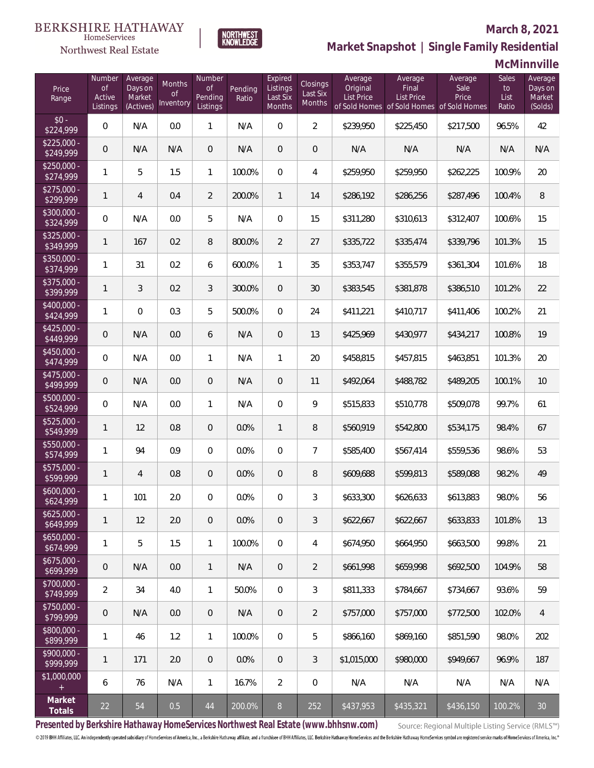## **March 8, 2021**



**NORTHWEST**<br>KNOWLEDGE

Northwest Real Estate

**Market Snapshot | Single Family Residential**

### **McMinnville**

| Price<br>Range                   | Number<br><b>of</b><br>Active<br>Listings | Average<br>Days on<br>Market<br>(Actives) | <b>Months</b><br>Οf<br>Inventory | Number<br><b>of</b><br>Pending<br>Listings | Pending<br>Ratio | Expired<br>Listings<br>Last Six<br>Months | <b>Closings</b><br>Last Six<br>Months | Average<br>Original<br>List Price | Average<br>Final<br><b>List Price</b><br>of Sold Homes of Sold Homes of Sold Homes | Average<br>Sale<br>Price | Sales<br>to<br>List<br>Ratio | Average<br>Days on<br>Market<br>(Solds) |
|----------------------------------|-------------------------------------------|-------------------------------------------|----------------------------------|--------------------------------------------|------------------|-------------------------------------------|---------------------------------------|-----------------------------------|------------------------------------------------------------------------------------|--------------------------|------------------------------|-----------------------------------------|
| $$0 -$<br>\$224,999              | $\overline{0}$                            | N/A                                       | 0.0                              | 1                                          | N/A              | $\Omega$                                  | $\overline{2}$                        | \$239,950                         | \$225,450                                                                          | \$217,500                | 96.5%                        | 42                                      |
| $\sqrt{$225,000}$ -<br>\$249,999 | 0                                         | N/A                                       | N/A                              | $\overline{0}$                             | N/A              | $\overline{0}$                            | $\overline{0}$                        | N/A                               | N/A                                                                                | N/A                      | N/A                          | N/A                                     |
| $$250,000 -$<br>\$274,999        | 1                                         | 5                                         | 1.5                              | $\mathbf{1}$                               | 100.0%           | $\overline{0}$                            | $\overline{4}$                        | \$259,950                         | \$259,950                                                                          | \$262,225                | 100.9%                       | 20                                      |
| $$275,000 -$<br>\$299,999        | 1                                         | $\overline{4}$                            | 0.4                              | $\overline{2}$                             | 200.0%           | $\mathbf{1}$                              | 14                                    | \$286,192                         | \$286,256                                                                          | \$287,496                | 100.4%                       | 8                                       |
| $$300,000 -$<br>\$324,999        | $\overline{0}$                            | N/A                                       | 0.0                              | 5                                          | N/A              | $\Omega$                                  | 15                                    | \$311,280                         | \$310,613                                                                          | \$312,407                | 100.6%                       | 15                                      |
| $$325,000 -$<br>\$349,999        | 1                                         | 167                                       | 0.2                              | 8                                          | 800.0%           | $\overline{2}$                            | 27                                    | \$335,722                         | \$335,474                                                                          | \$339,796                | 101.3%                       | 15                                      |
| $$350,000 -$<br>\$374,999        | 1                                         | 31                                        | 0.2                              | 6                                          | 600.0%           | $\mathbf{1}$                              | 35                                    | \$353,747                         | \$355,579                                                                          | \$361,304                | 101.6%                       | 18                                      |
| $$375,000 -$<br>\$399,999        | 1                                         | 3                                         | 0.2                              | 3                                          | 300.0%           | $\overline{0}$                            | 30                                    | \$383,545                         | \$381,878                                                                          | \$386,510                | 101.2%                       | 22                                      |
| $$400,000 -$<br>\$424,999        | 1                                         | $\Omega$                                  | 0.3                              | 5                                          | 500.0%           | $\Omega$                                  | 24                                    | \$411,221                         | \$410,717                                                                          | \$411,406                | 100.2%                       | 21                                      |
| $$425,000 -$<br>\$449,999        | $\theta$                                  | N/A                                       | 0.0                              | 6                                          | N/A              | $\overline{0}$                            | 13                                    | \$425,969                         | \$430,977                                                                          | \$434,217                | 100.8%                       | 19                                      |
| $$450.000 -$<br>\$474,999        | $\overline{0}$                            | N/A                                       | 0.0                              | $\mathbf{1}$                               | N/A              | $\mathbf{1}$                              | 20                                    | \$458,815                         | \$457,815                                                                          | \$463,851                | 101.3%                       | 20                                      |
| \$475,000 -<br>\$499,999         | $\overline{0}$                            | N/A                                       | 0.0                              | $\overline{0}$                             | N/A              | $\overline{0}$                            | 11                                    | \$492,064                         | \$488,782                                                                          | \$489,205                | 100.1%                       | 10                                      |
| \$500,000 -<br>\$524,999         | $\overline{0}$                            | N/A                                       | 0.0                              | $\mathbf{1}$                               | N/A              | $\Omega$                                  | 9                                     | \$515,833                         | \$510,778                                                                          | \$509,078                | 99.7%                        | 61                                      |
| $$525,000 -$<br>\$549,999        | 1                                         | 12                                        | 0.8                              | $\overline{0}$                             | 0.0%             | $\mathbf{1}$                              | 8                                     | \$560,919                         | \$542,800                                                                          | \$534,175                | 98.4%                        | 67                                      |
| \$550,000 -<br>\$574,999         | 1                                         | 94                                        | 0.9                              | $\Omega$                                   | 0.0%             | $\Omega$                                  | $\overline{7}$                        | \$585,400                         | \$567,414                                                                          | \$559,536                | 98.6%                        | 53                                      |
| \$575,000 -<br>\$599,999         | 1                                         | 4                                         | 0.8                              | $\overline{0}$                             | 0.0%             | $\overline{0}$                            | 8                                     | \$609,688                         | \$599,813                                                                          | \$589,088                | 98.2%                        | 49                                      |
| $$600,000 -$<br>\$624,999        | 1                                         | 101                                       | 2.0                              | $\overline{0}$                             | 0.0%             | 0                                         | 3                                     | \$633,300                         | \$626,633                                                                          | \$613,883                | 98.0%                        | 56                                      |
| $$625,000 -$<br>\$649,999        | 1                                         | 12                                        | 2.0                              | $\overline{0}$                             | 0.0%             | $\mathbf 0$                               | 3                                     | \$622,667                         | \$622,667                                                                          | \$633,833                | 101.8%                       | 13                                      |
| $$650,000 -$<br>\$674,999        | $\mathbf{1}$                              | 5                                         | 1.5                              | $\mathbf{1}$                               | 100.0%           | $\mathbf{0}$                              | 4                                     | \$674,950                         | \$664,950                                                                          | \$663,500                | 99.8%                        | 21                                      |
| $$675,000 -$<br>\$699,999        | $\mathbf 0$                               | N/A                                       | 0.0                              | $\overline{1}$                             | N/A              | $\overline{0}$                            | $\overline{2}$                        | \$661,998                         | \$659,998                                                                          | \$692,500                | 104.9%                       | 58                                      |
| $$700,000 -$<br>\$749,999        | $\overline{2}$                            | 34                                        | 4.0                              | $\mathbf{1}$                               | 50.0%            | $\overline{0}$                            | 3                                     | \$811,333                         | \$784,667                                                                          | \$734,667                | 93.6%                        | 59                                      |
| $$750,000 -$<br>\$799,999        | $\mathbf 0$                               | N/A                                       | 0.0                              | $\overline{0}$                             | N/A              | $\overline{0}$                            | $\overline{2}$                        | \$757,000                         | \$757,000                                                                          | \$772,500                | 102.0%                       | 4                                       |
| \$800,000 -<br>\$899,999         | 1                                         | 46                                        | 1.2                              | $\mathbf{1}$                               | 100.0%           | $\overline{0}$                            | 5                                     | \$866,160                         | \$869,160                                                                          | \$851,590                | 98.0%                        | 202                                     |
| $$900,000 -$<br>\$999,999        | $\mathbf{1}$                              | 171                                       | 2.0                              | $\overline{0}$                             | 0.0%             | 0                                         | $\mathfrak{Z}$                        | \$1,015,000                       | \$980,000                                                                          | \$949,667                | 96.9%                        | 187                                     |
| \$1,000,000<br>$+$               | 6                                         | 76                                        | N/A                              | $\mathbf{1}$                               | 16.7%            | $\overline{2}$                            | $\mathbf 0$                           | N/A                               | N/A                                                                                | N/A                      | N/A                          | N/A                                     |
| Market<br>Totals                 | 22                                        | 54                                        | 0.5                              | $44\,$                                     | 200.0%           | 8 <sup>°</sup>                            | 252                                   | \$437,953                         | \$435,321                                                                          | \$436,150                | 100.2%                       | 30                                      |

**Presented by Berkshire Hathaway HomeServices Northwest Real Estate (www.bhhsnw.com)**

Source: Regional Multiple Listing Service (RMLS™)

© 2019 BHH Affiliates, LLC. An independently operated subsidiary of HomeServices of America, Inc., a Berkshire Hathaway affiliate, and a franchisee of BHH Affiliates, LLC. Berkshire Hathaway HomeServices and the Berkshire